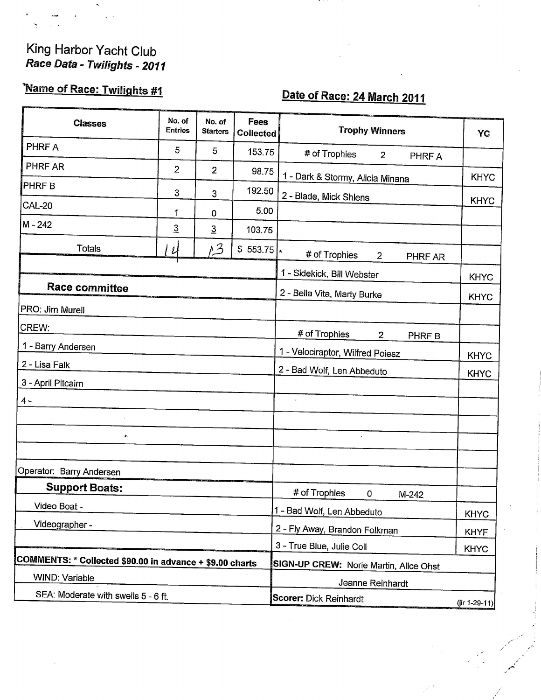## King Harbor Yacht Club Race Data - Twilights - 2011

## Name of Race: Twilights #1

## Date of Race: 24 March 2011

| <b>Classes</b>                                           | No. of<br>Entries | No. of<br><b>Starters</b> | Fees<br><b>Collected</b>    | <b>Trophy Winners</b>                         | <b>YC</b>       |
|----------------------------------------------------------|-------------------|---------------------------|-----------------------------|-----------------------------------------------|-----------------|
| PHRF A                                                   | 5                 | 5                         | 153.75                      | # of Trophies<br>$\overline{2}$<br>PHRF A     |                 |
| PHRF AR                                                  | $\overline{2}$    | $\overline{2}$            | 98.75                       | 1 - Dark & Stormy, Alicia Minana              | <b>KHYC</b>     |
| <b>PHRFB</b>                                             | 3                 | 3                         | 192.50                      |                                               |                 |
| <b>CAL-20</b>                                            | 1                 | 0                         | 5.00                        | 2 - Blade, Mick Shlens                        | <b>KHYC</b>     |
| M-242                                                    | $\overline{3}$    | $\overline{3}$            | 103.75                      |                                               |                 |
| Totals                                                   | $\mathcal{U}$     | 1/3                       | $$553.75$ *                 | # of Trophies<br>$\overline{2}$<br>PHRF AR    |                 |
|                                                          |                   |                           |                             | 1 - Sidekick, Bill Webster                    | <b>KHYC</b>     |
| <b>Race committee</b>                                    |                   |                           | 2 - Bella Vita, Marty Burke | <b>KHYC</b>                                   |                 |
| PRO: Jim Murell                                          |                   |                           |                             |                                               |                 |
| CREW:                                                    |                   |                           |                             | # of Trophies<br>$\overline{2}$               |                 |
| 1 - Barry Andersen                                       |                   |                           |                             | PHRF B<br>1 - Velociraptor, Wilfred Poiesz    |                 |
| 2 - Lisa Falk                                            |                   |                           |                             | 2 - Bad Wolf, Len Abbeduto                    | <b>KHYC</b>     |
| 3 - April Pitcairn                                       |                   |                           |                             |                                               | <b>KHYC</b>     |
| $4 -$                                                    |                   |                           |                             |                                               |                 |
|                                                          |                   |                           |                             |                                               |                 |
| У.                                                       |                   |                           |                             |                                               |                 |
|                                                          |                   |                           |                             |                                               |                 |
| Operator: Barry Andersen                                 |                   |                           |                             |                                               |                 |
| <b>Support Boats:</b>                                    |                   |                           |                             | # of Trophies<br>0<br>M-242                   |                 |
| Video Boat -                                             |                   |                           |                             | 1 - Bad Wolf, Len Abbeduto                    | <b>KHYC</b>     |
| Videographer -                                           |                   |                           |                             | 2 - Fly Away, Brandon Folkman                 | <b>KHYF</b>     |
|                                                          |                   |                           |                             | 3 - True Blue, Julie Coll                     | <b>KHYC</b>     |
| COMMENTS: * Collected \$90.00 in advance + \$9.00 charts |                   |                           |                             | <b>SIGN-UP CREW: Norie Martin, Alice Ohst</b> |                 |
| WIND: Variable                                           |                   |                           |                             | Jeanne Reinhardt                              |                 |
| SEA: Moderate with swells 5 - 6 ft.                      |                   |                           |                             | Scorer: Dick Reinhardt                        | $(iir 1-29-11)$ |